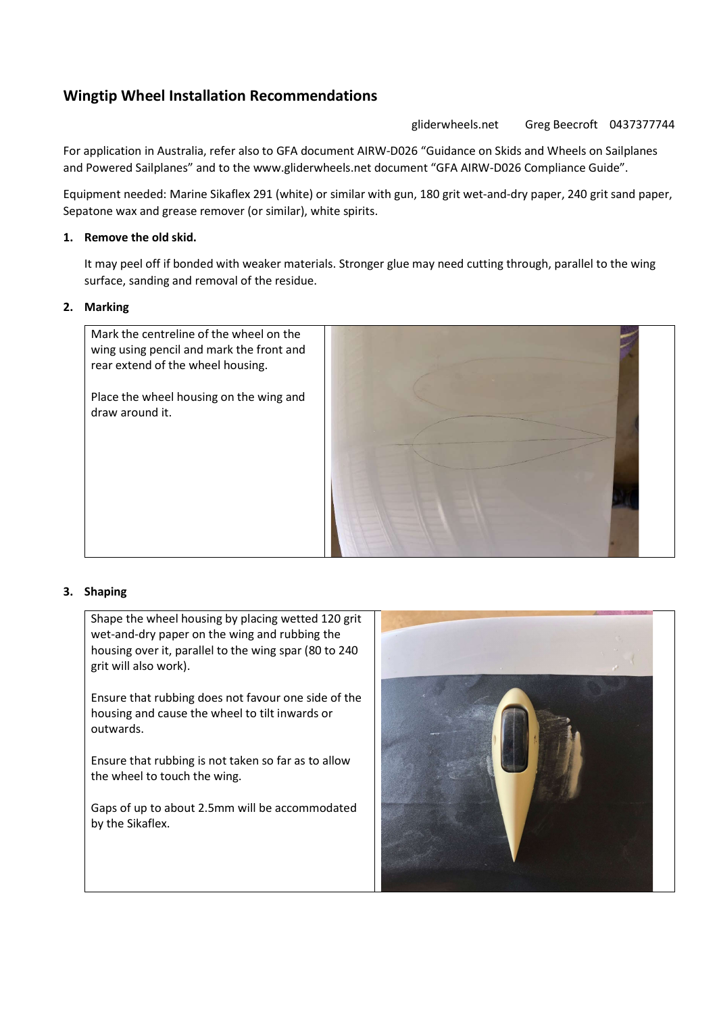# Wingtip Wheel Installation Recommendations

gliderwheels.net Greg Beecroft 0437377744

For application in Australia, refer also to GFA document AIRW-D026 "Guidance on Skids and Wheels on Sailplanes and Powered Sailplanes" and to the www.gliderwheels.net document "GFA AIRW-D026 Compliance Guide".

Equipment needed: Marine Sikaflex 291 (white) or similar with gun, 180 grit wet-and-dry paper, 240 grit sand paper, Sepatone wax and grease remover (or similar), white spirits.

# 1. Remove the old skid.

It may peel off if bonded with weaker materials. Stronger glue may need cutting through, parallel to the wing surface, sanding and removal of the residue.

# 2. Marking

Mark the centreline of the wheel on the wing using pencil and mark the front and rear extend of the wheel housing.

Place the wheel housing on the wing and draw around it.



# 3. Shaping

Shape the wheel housing by placing wetted 120 grit wet-and-dry paper on the wing and rubbing the housing over it, parallel to the wing spar (80 to 240 grit will also work).

Ensure that rubbing does not favour one side of the housing and cause the wheel to tilt inwards or outwards.

Ensure that rubbing is not taken so far as to allow the wheel to touch the wing.

Gaps of up to about 2.5mm will be accommodated by the Sikaflex.